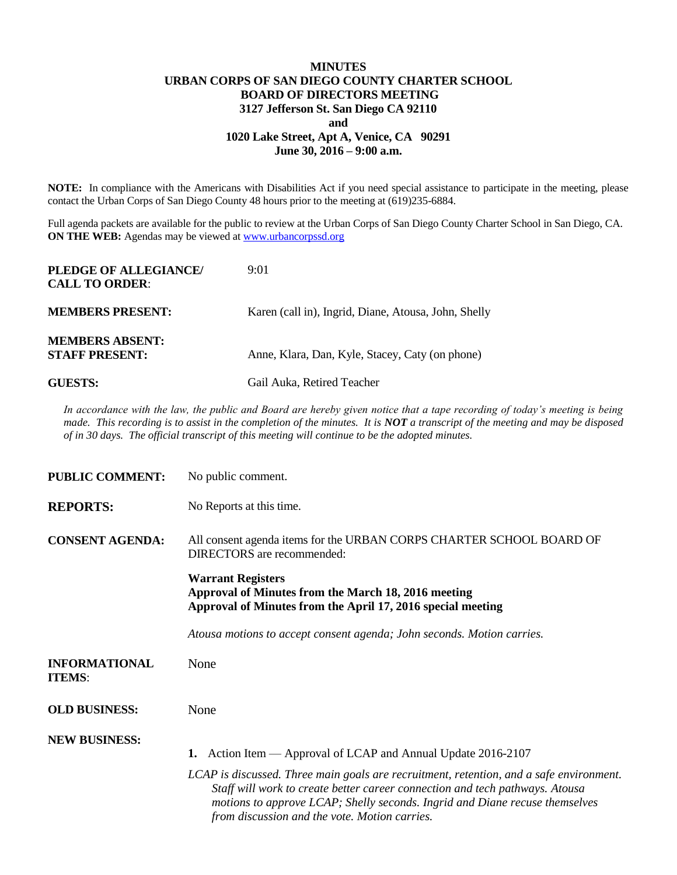## **MINUTES URBAN CORPS OF SAN DIEGO COUNTY CHARTER SCHOOL BOARD OF DIRECTORS MEETING 3127 Jefferson St. San Diego CA 92110 and 1020 Lake Street, Apt A, Venice, CA 90291 June 30, 2016 – 9:00 a.m.**

**NOTE:** In compliance with the Americans with Disabilities Act if you need special assistance to participate in the meeting, please contact the Urban Corps of San Diego County 48 hours prior to the meeting at (619)235-6884.

Full agenda packets are available for the public to review at the Urban Corps of San Diego County Charter School in San Diego, CA. **ON THE WEB:** Agendas may be viewed at **www.urbancorpssd.org** 

| PLEDGE OF ALLEGIANCE/<br><b>CALL TO ORDER:</b>  | 9:01                                                 |  |
|-------------------------------------------------|------------------------------------------------------|--|
| <b>MEMBERS PRESENT:</b>                         | Karen (call in), Ingrid, Diane, Atousa, John, Shelly |  |
| <b>MEMBERS ABSENT:</b><br><b>STAFF PRESENT:</b> | Anne, Klara, Dan, Kyle, Stacey, Caty (on phone)      |  |
| <b>GUESTS:</b>                                  | Gail Auka, Retired Teacher                           |  |

*In accordance with the law, the public and Board are hereby given notice that a tape recording of today's meeting is being made. This recording is to assist in the completion of the minutes. It is NOT a transcript of the meeting and may be disposed of in 30 days. The official transcript of this meeting will continue to be the adopted minutes.*

| <b>PUBLIC COMMENT:</b>                | No public comment.                                                                                                                                                                                                                                                                                      |  |  |
|---------------------------------------|---------------------------------------------------------------------------------------------------------------------------------------------------------------------------------------------------------------------------------------------------------------------------------------------------------|--|--|
| <b>REPORTS:</b>                       | No Reports at this time.                                                                                                                                                                                                                                                                                |  |  |
| <b>CONSENT AGENDA:</b>                | All consent agenda items for the URBAN CORPS CHARTER SCHOOL BOARD OF<br><b>DIRECTORS</b> are recommended:                                                                                                                                                                                               |  |  |
|                                       | <b>Warrant Registers</b><br>Approval of Minutes from the March 18, 2016 meeting<br>Approval of Minutes from the April 17, 2016 special meeting                                                                                                                                                          |  |  |
|                                       | Atousa motions to accept consent agenda; John seconds. Motion carries.                                                                                                                                                                                                                                  |  |  |
| <b>INFORMATIONAL</b><br><b>ITEMS:</b> | None                                                                                                                                                                                                                                                                                                    |  |  |
| <b>OLD BUSINESS:</b>                  | None                                                                                                                                                                                                                                                                                                    |  |  |
| <b>NEW BUSINESS:</b>                  | Action Item — Approval of LCAP and Annual Update 2016-2107<br>1.                                                                                                                                                                                                                                        |  |  |
|                                       | LCAP is discussed. Three main goals are recruitment, retention, and a safe environment.<br>Staff will work to create better career connection and tech pathways. Atousa<br>motions to approve LCAP; Shelly seconds. Ingrid and Diane recuse themselves<br>from discussion and the vote. Motion carries. |  |  |